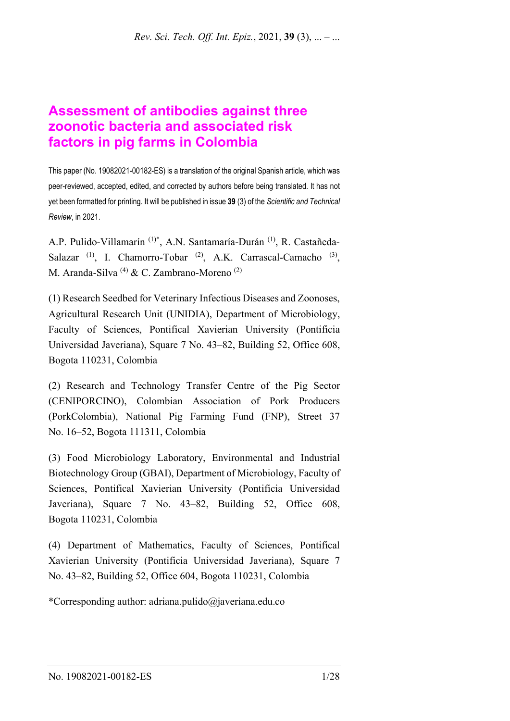# **Assessment of antibodies against three zoonotic bacteria and associated risk factors in pig farms in Colombia**

This paper (No. 19082021-00182-ES) is a translation of the original Spanish article, which was peer-reviewed, accepted, edited, and corrected by authors before being translated. It has not yet been formatted for printing. It will be published in issue **39** (3) of the *Scientific and Technical Review*, in 2021.

A.P. Pulido-Villamarín (1)\*, A.N. Santamaría-Durán (1), R. Castañeda-Salazar  $(1)$ , I. Chamorro-Tobar  $(2)$ , A.K. Carrascal-Camacho  $(3)$ , M. Aranda-Silva (4) & C. Zambrano-Moreno (2)

(1) Research Seedbed for Veterinary Infectious Diseases and Zoonoses, Agricultural Research Unit (UNIDIA), Department of Microbiology, Faculty of Sciences, Pontifical Xavierian University (Pontificia Universidad Javeriana), Square 7 No. 43–82, Building 52, Office 608, Bogota 110231, Colombia

(2) Research and Technology Transfer Centre of the Pig Sector (CENIPORCINO), Colombian Association of Pork Producers (PorkColombia), National Pig Farming Fund (FNP), Street 37 No. 16–52, Bogota 111311, Colombia

(3) Food Microbiology Laboratory, Environmental and Industrial Biotechnology Group (GBAI), Department of Microbiology, Faculty of Sciences, Pontifical Xavierian University (Pontificia Universidad Javeriana), Square 7 No. 43–82, Building 52, Office 608, Bogota 110231, Colombia

(4) Department of Mathematics, Faculty of Sciences, Pontifical Xavierian University (Pontificia Universidad Javeriana), Square 7 No. 43–82, Building 52, Office 604, Bogota 110231, Colombia

\*Corresponding author: adriana.pulido@javeriana.edu.co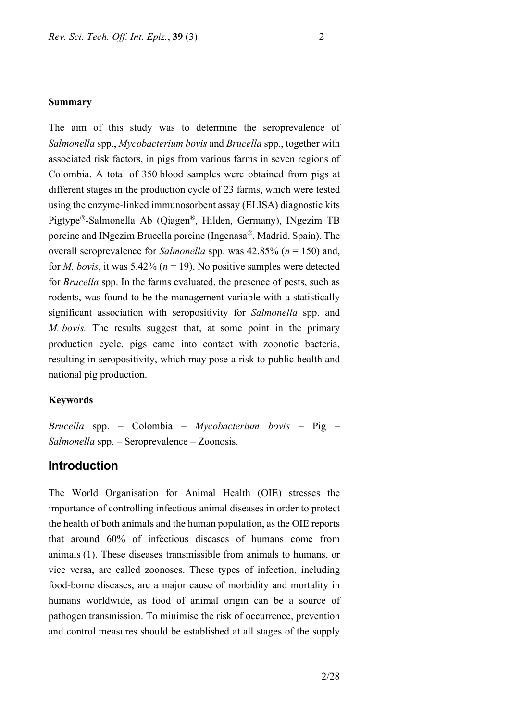#### **Summary**

The aim of this study was to determine the seroprevalence of *Salmonella* spp., *Mycobacterium bovis* and *Brucella* spp., together with associated risk factors, in pigs from various farms in seven regions of Colombia. A total of 350 blood samples were obtained from pigs at different stages in the production cycle of 23 farms, which were tested using the enzyme-linked immunosorbent assay (ELISA) diagnostic kits Pigtype®-Salmonella Ab (Qiagen®, Hilden, Germany), INgezim TB porcine and INgezim Brucella porcine (Ingenasa®, Madrid, Spain). The overall seroprevalence for *Salmonella* spp. was 42.85% (*n* = 150) and, for *M. bovis*, it was 5.42% ( $n = 19$ ). No positive samples were detected for *Brucella* spp. In the farms evaluated, the presence of pests, such as rodents, was found to be the management variable with a statistically significant association with seropositivity for *Salmonella* spp. and *M. bovis.* The results suggest that, at some point in the primary production cycle, pigs came into contact with zoonotic bacteria, resulting in seropositivity, which may pose a risk to public health and national pig production.

#### **Keywords**

*Brucella* spp. – Colombia – *Mycobacterium bovis* – Pig – *Salmonella* spp. – Seroprevalence – Zoonosis.

#### **Introduction**

The World Organisation for Animal Health (OIE) stresses the importance of controlling infectious animal diseases in order to protect the health of both animals and the human population, as the OIE reports that around 60% of infectious diseases of humans come from animals (1). These diseases transmissible from animals to humans, or vice versa, are called zoonoses. These types of infection, including food-borne diseases, are a major cause of morbidity and mortality in humans worldwide, as food of animal origin can be a source of pathogen transmission. To minimise the risk of occurrence, prevention and control measures should be established at all stages of the supply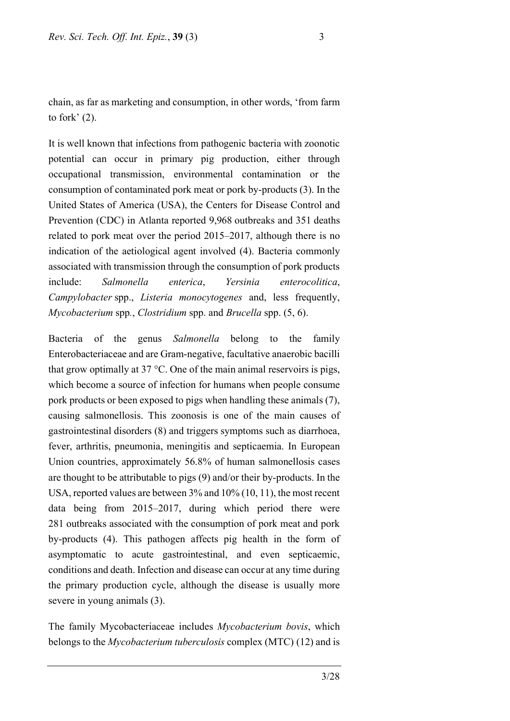chain, as far as marketing and consumption, in other words, 'from farm to fork' (2).

It is well known that infections from pathogenic bacteria with zoonotic potential can occur in primary pig production, either through occupational transmission, environmental contamination or the consumption of contaminated pork meat or pork by-products (3). In the United States of America (USA), the Centers for Disease Control and Prevention (CDC) in Atlanta reported 9,968 outbreaks and 351 deaths related to pork meat over the period 2015–2017, although there is no indication of the aetiological agent involved (4). Bacteria commonly associated with transmission through the consumption of pork products include: *Salmonella enterica*, *Yersinia enterocolitica*, *Campylobacter* spp., *Listeria monocytogenes* and, less frequently, *Mycobacterium* spp*.*, *Clostridium* spp. and *Brucella* spp. (5, 6).

Bacteria of the genus *Salmonella* belong to the family Enterobacteriaceae and are Gram-negative, facultative anaerobic bacilli that grow optimally at  $37^{\circ}$ C. One of the main animal reservoirs is pigs, which become a source of infection for humans when people consume pork products or been exposed to pigs when handling these animals (7), causing salmonellosis. This zoonosis is one of the main causes of gastrointestinal disorders (8) and triggers symptoms such as diarrhoea, fever, arthritis, pneumonia, meningitis and septicaemia. In European Union countries, approximately 56.8% of human salmonellosis cases are thought to be attributable to pigs (9) and/or their by-products. In the USA, reported values are between 3% and 10% (10, 11), the most recent data being from 2015–2017, during which period there were 281 outbreaks associated with the consumption of pork meat and pork by-products (4). This pathogen affects pig health in the form of asymptomatic to acute gastrointestinal, and even septicaemic, conditions and death. Infection and disease can occur at any time during the primary production cycle, although the disease is usually more severe in young animals (3).

The family Mycobacteriaceae includes *Mycobacterium bovis*, which belongs to the *Mycobacterium tuberculosis* complex (MTC) (12) and is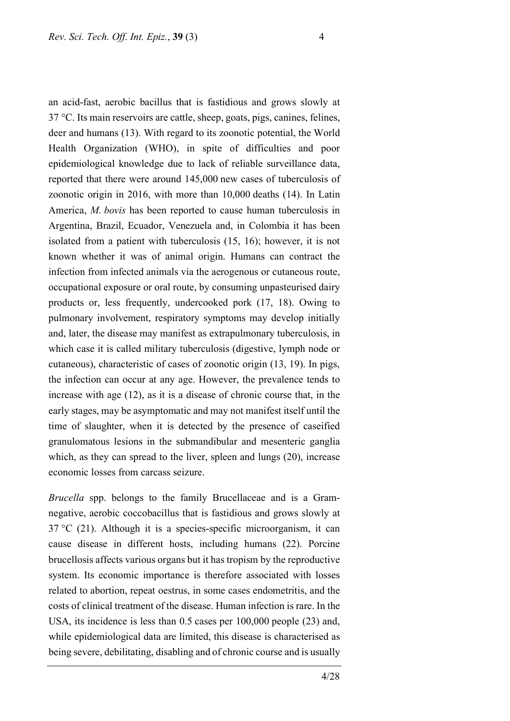an acid-fast, aerobic bacillus that is fastidious and grows slowly at 37 °C. Its main reservoirs are cattle, sheep, goats, pigs, canines, felines, deer and humans (13). With regard to its zoonotic potential, the World Health Organization (WHO), in spite of difficulties and poor epidemiological knowledge due to lack of reliable surveillance data, reported that there were around 145,000 new cases of tuberculosis of zoonotic origin in 2016, with more than 10,000 deaths (14). In Latin America, *M. bovis* has been reported to cause human tuberculosis in Argentina, Brazil, Ecuador, Venezuela and, in Colombia it has been isolated from a patient with tuberculosis (15, 16); however, it is not known whether it was of animal origin. Humans can contract the infection from infected animals via the aerogenous or cutaneous route, occupational exposure or oral route, by consuming unpasteurised dairy products or, less frequently, undercooked pork (17, 18). Owing to pulmonary involvement, respiratory symptoms may develop initially and, later, the disease may manifest as extrapulmonary tuberculosis, in which case it is called military tuberculosis (digestive, lymph node or cutaneous), characteristic of cases of zoonotic origin (13, 19). In pigs, the infection can occur at any age. However, the prevalence tends to increase with age (12), as it is a disease of chronic course that, in the early stages, may be asymptomatic and may not manifest itself until the time of slaughter, when it is detected by the presence of caseified granulomatous lesions in the submandibular and mesenteric ganglia which, as they can spread to the liver, spleen and lungs (20), increase economic losses from carcass seizure.

*Brucella* spp. belongs to the family Brucellaceae and is a Gramnegative, aerobic coccobacillus that is fastidious and grows slowly at  $37 \text{ °C}$  (21). Although it is a species-specific microorganism, it can cause disease in different hosts, including humans (22). Porcine brucellosis affects various organs but it has tropism by the reproductive system. Its economic importance is therefore associated with losses related to abortion, repeat oestrus, in some cases endometritis, and the costs of clinical treatment of the disease. Human infection is rare. In the USA, its incidence is less than 0.5 cases per 100,000 people (23) and, while epidemiological data are limited, this disease is characterised as being severe, debilitating, disabling and of chronic course and is usually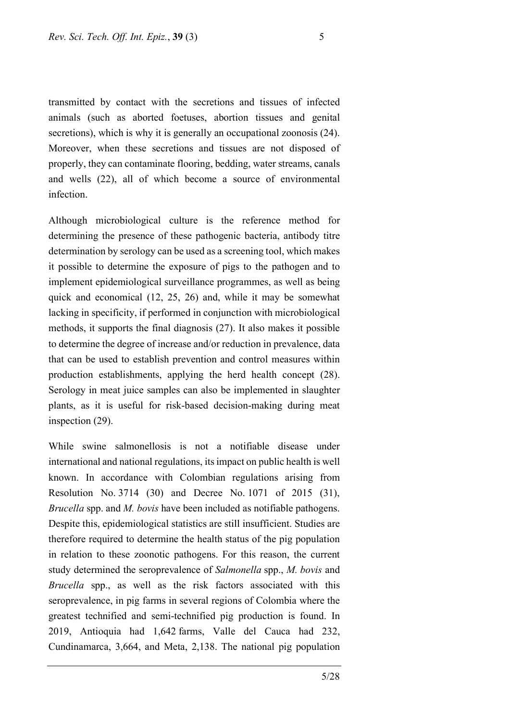transmitted by contact with the secretions and tissues of infected animals (such as aborted foetuses, abortion tissues and genital secretions), which is why it is generally an occupational zoonosis (24). Moreover, when these secretions and tissues are not disposed of properly, they can contaminate flooring, bedding, water streams, canals and wells (22), all of which become a source of environmental infection.

Although microbiological culture is the reference method for determining the presence of these pathogenic bacteria, antibody titre determination by serology can be used as a screening tool, which makes it possible to determine the exposure of pigs to the pathogen and to implement epidemiological surveillance programmes, as well as being quick and economical (12, 25, 26) and, while it may be somewhat lacking in specificity, if performed in conjunction with microbiological methods, it supports the final diagnosis (27). It also makes it possible to determine the degree of increase and/or reduction in prevalence, data that can be used to establish prevention and control measures within production establishments, applying the herd health concept (28). Serology in meat juice samples can also be implemented in slaughter plants, as it is useful for risk-based decision-making during meat inspection (29).

While swine salmonellosis is not a notifiable disease under international and national regulations, itsimpact on public health is well known. In accordance with Colombian regulations arising from Resolution No. 3714 (30) and Decree No. 1071 of 2015 (31), *Brucella* spp. and *M. bovis* have been included as notifiable pathogens. Despite this, epidemiological statistics are still insufficient. Studies are therefore required to determine the health status of the pig population in relation to these zoonotic pathogens. For this reason, the current study determined the seroprevalence of *Salmonella* spp., *M. bovis* and *Brucella* spp., as well as the risk factors associated with this seroprevalence, in pig farms in several regions of Colombia where the greatest technified and semi-technified pig production is found. In 2019, Antioquia had 1,642 farms, Valle del Cauca had 232, Cundinamarca, 3,664, and Meta, 2,138. The national pig population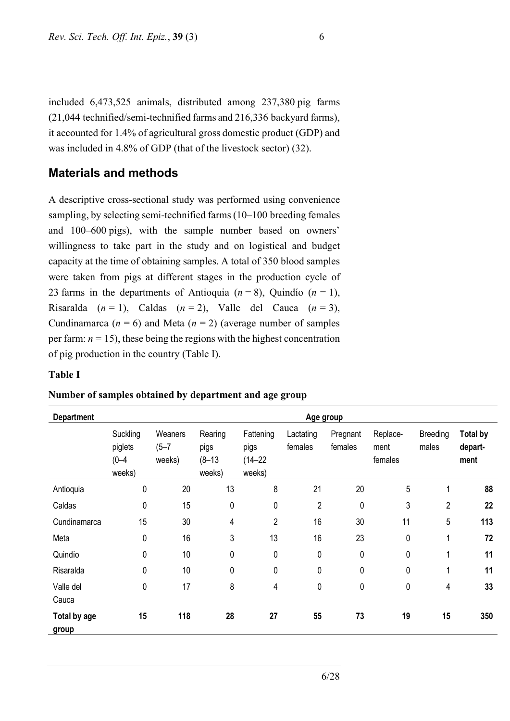included 6,473,525 animals, distributed among 237,380 pig farms (21,044 technified/semi-technified farms and 216,336 backyard farms), it accounted for 1.4% of agricultural gross domestic product (GDP) and was included in 4.8% of GDP (that of the livestock sector) (32).

### **Materials and methods**

A descriptive cross-sectional study was performed using convenience sampling, by selecting semi-technified farms (10–100 breeding females and 100–600 pigs), with the sample number based on owners' willingness to take part in the study and on logistical and budget capacity at the time of obtaining samples. A total of 350 blood samples were taken from pigs at different stages in the production cycle of 23 farms in the departments of Antioquia  $(n = 8)$ , Quindío  $(n = 1)$ , Risaralda  $(n = 1)$ , Caldas  $(n = 2)$ , Valle del Cauca  $(n = 3)$ , Cundinamarca ( $n = 6$ ) and Meta ( $n = 2$ ) (average number of samples per farm:  $n = 15$ ), these being the regions with the highest concentration of pig production in the country (Table I).

#### **Table I**

| <b>Department</b>     | Age group                                  |                                |                                         |                                            |                      |                     |                             |                   |                                    |
|-----------------------|--------------------------------------------|--------------------------------|-----------------------------------------|--------------------------------------------|----------------------|---------------------|-----------------------------|-------------------|------------------------------------|
|                       | Suckling<br>piglets<br>$(0 - 4)$<br>weeks) | Weaners<br>$(5 - 7)$<br>weeks) | Rearing<br>pigs<br>$(8 - 13)$<br>weeks) | Fattening<br>pigs<br>$(14 - 22)$<br>weeks) | Lactating<br>females | Pregnant<br>females | Replace-<br>ment<br>females | Breeding<br>males | <b>Total by</b><br>depart-<br>ment |
| Antioquia             | 0                                          | 20                             | 13                                      | 8                                          | 21                   | 20                  | 5                           | 1                 | 88                                 |
| Caldas                | 0                                          | 15                             | 0                                       | 0                                          | 2                    | 0                   | 3                           | $\overline{2}$    | 22                                 |
| Cundinamarca          | 15                                         | 30                             | 4                                       | $\overline{c}$                             | 16                   | 30                  | 11                          | 5                 | 113                                |
| Meta                  | 0                                          | 16                             | 3                                       | 13                                         | 16                   | 23                  | $\mathbf 0$                 | 1                 | 72                                 |
| Quindío               | 0                                          | 10                             | 0                                       | 0                                          | 0                    | $\pmb{0}$           | 0                           | 1                 | 11                                 |
| Risaralda             | 0                                          | 10                             | 0                                       | 0                                          | 0                    | 0                   | 0                           | 1                 | 11                                 |
| Valle del<br>Cauca    | 0                                          | 17                             | 8                                       | 4                                          | 0                    | 0                   | $\mathbf 0$                 | 4                 | 33                                 |
| Total by age<br>group | 15                                         | 118                            | 28                                      | 27                                         | 55                   | 73                  | 19                          | 15                | 350                                |

#### **Number of samples obtained by department and age group**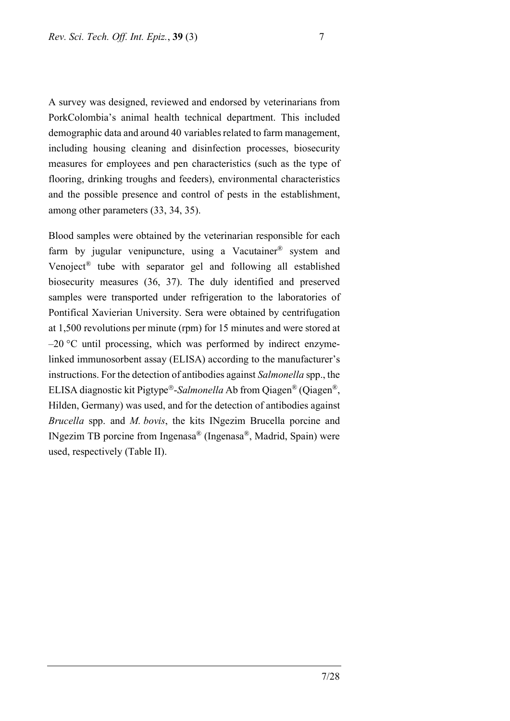A survey was designed, reviewed and endorsed by veterinarians from PorkColombia's animal health technical department. This included demographic data and around 40 variables related to farm management, including housing cleaning and disinfection processes, biosecurity measures for employees and pen characteristics (such as the type of flooring, drinking troughs and feeders), environmental characteristics and the possible presence and control of pests in the establishment, among other parameters (33, 34, 35).

Blood samples were obtained by the veterinarian responsible for each farm by jugular venipuncture, using a Vacutainer<sup>®</sup> system and Venoject® tube with separator gel and following all established biosecurity measures (36, 37). The duly identified and preserved samples were transported under refrigeration to the laboratories of Pontifical Xavierian University. Sera were obtained by centrifugation at 1,500 revolutions per minute (rpm) for 15 minutes and were stored at  $-20$  °C until processing, which was performed by indirect enzymelinked immunosorbent assay (ELISA) according to the manufacturer's instructions. For the detection of antibodies against *Salmonella* spp., the ELISA diagnostic kit Pigtype<sup>®</sup>-Salmonella Ab from Qiagen<sup>®</sup> (Qiagen<sup>®</sup>, Hilden, Germany) was used, and for the detection of antibodies against *Brucella* spp. and *M. bovis*, the kits INgezim Brucella porcine and INgezim TB porcine from Ingenasa® (Ingenasa®, Madrid, Spain) were used, respectively (Table II).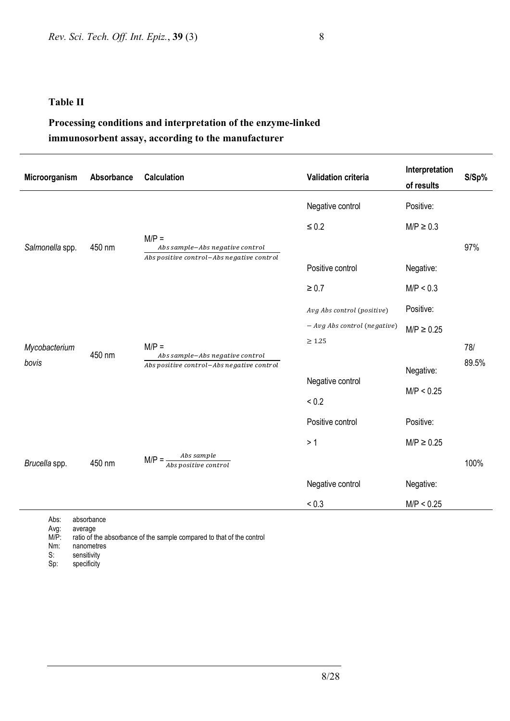#### **Table II**

## **Processing conditions and interpretation of the enzyme-linked immunosorbent assay, according to the manufacturer**

| Microorganism   | Absorbance | <b>Calculation</b>                                                                      | <b>Validation criteria</b>     | Interpretation<br>of results | S/Sp% |
|-----------------|------------|-----------------------------------------------------------------------------------------|--------------------------------|------------------------------|-------|
| Salmonella spp. | 450 nm     |                                                                                         | Negative control               | Positive:                    |       |
|                 |            | $M/P =$<br>Abs sample-Abs negative control<br>Abs positive control-Abs negative control | $\leq 0.2$                     | $M/P \geq 0.3$               |       |
|                 |            |                                                                                         |                                |                              | 97%   |
|                 |            |                                                                                         | Positive control               | Negative:                    |       |
|                 |            |                                                                                         | $\geq 0.7$                     | M/P < 0.3                    |       |
|                 | 450 nm     |                                                                                         | Avg Abs control (positive)     | Positive:                    |       |
|                 |            | $M/P =$<br>Abs sample-Abs negative control<br>Abs positive control-Abs negative control | $-$ Avg Abs control (negative) | $M/P \geq 0.25$              |       |
| Mycobacterium   |            |                                                                                         | $\geq 1.25$                    |                              | 78/   |
| bovis           |            |                                                                                         |                                | Negative:                    | 89.5% |
|                 |            |                                                                                         | Negative control               | M/P < 0.25                   |       |
|                 |            |                                                                                         | ${}_{0.2}$                     |                              |       |
|                 | 450 nm     |                                                                                         | Positive control               | Positive:                    |       |
|                 |            | Abs sample<br>$M/P =$<br>Abs positive control                                           | >1                             | $M/P \geq 0.25$              |       |
| Brucella spp.   |            |                                                                                         |                                |                              | 100%  |
|                 |            |                                                                                         | Negative control               | Negative:                    |       |
|                 |            |                                                                                         | ${}_{0.3}$                     | M/P < 0.25                   |       |

Abs: absorbance<br>Avg: average Avg: average<br>M/P: ratio of th

M/P: ratio of the absorbance of the sample compared to that of the control Nm: nanometres Nm: nanometres<br>S: sensitivity

S: sensitivity<br>Sp: specificity

specificity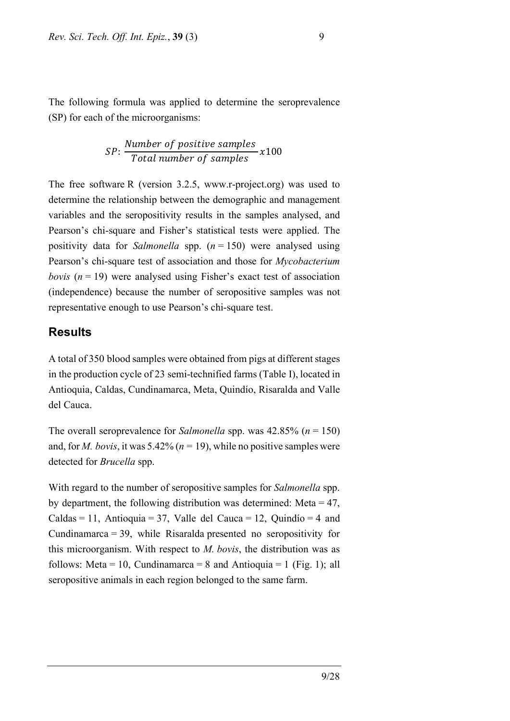The following formula was applied to determine the seroprevalence (SP) for each of the microorganisms:

$$
SP: \frac{Number\ of\ positive\ samples}{Total\ number\ of\ samples} \times 100
$$

The free software R (version 3.2.5, www.r-project.org) was used to determine the relationship between the demographic and management variables and the seropositivity results in the samples analysed, and Pearson's chi-square and Fisher's statistical tests were applied. The positivity data for *Salmonella* spp. (*n* = 150) were analysed using Pearson's chi-square test of association and those for *Mycobacterium bovis*  $(n = 19)$  were analysed using Fisher's exact test of association (independence) because the number of seropositive samples was not representative enough to use Pearson's chi-square test.

### **Results**

A total of 350 blood samples were obtained from pigs at different stages in the production cycle of 23 semi-technified farms (Table I), located in Antioquia, Caldas, Cundinamarca, Meta, Quindío, Risaralda and Valle del Cauca.

The overall seroprevalence for *Salmonella* spp. was 42.85% (*n* = 150) and, for *M. bovis*, it was 5.42% ( $n = 19$ ), while no positive samples were detected for *Brucella* spp.

With regard to the number of seropositive samples for *Salmonella* spp. by department, the following distribution was determined: Meta = 47, Caldas = 11, Antioquia = 37, Valle del Cauca = 12, Quindío = 4 and Cundinamarca = 39, while Risaralda presented no seropositivity for this microorganism. With respect to *M. bovis*, the distribution was as follows: Meta = 10, Cundinamarca = 8 and Antioquia = 1 (Fig. 1); all seropositive animals in each region belonged to the same farm.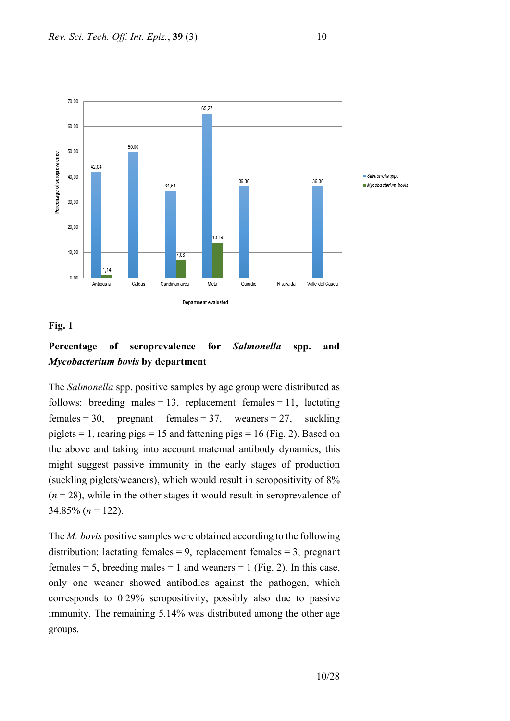

### **Fig. 1**

## **Percentage of seroprevalence for** *Salmonella* **spp. and**  *Mycobacterium bovis* **by department**

The *Salmonella* spp. positive samples by age group were distributed as follows: breeding males = 13, replacement females = 11, lactating females = 30, pregnant females = 37, weaners = 27, suckling piglets = 1, rearing pigs = 15 and fattening pigs = 16 (Fig. 2). Based on the above and taking into account maternal antibody dynamics, this might suggest passive immunity in the early stages of production (suckling piglets/weaners), which would result in seropositivity of 8%  $(n = 28)$ , while in the other stages it would result in seroprevalence of 34.85%  $(n = 122)$ .

The *M. bovis* positive samples were obtained according to the following distribution: lactating females = 9, replacement females = 3, pregnant females = 5, breeding males = 1 and weaners = 1 (Fig. 2). In this case, only one weaner showed antibodies against the pathogen, which corresponds to 0.29% seropositivity, possibly also due to passive immunity. The remaining 5.14% was distributed among the other age groups.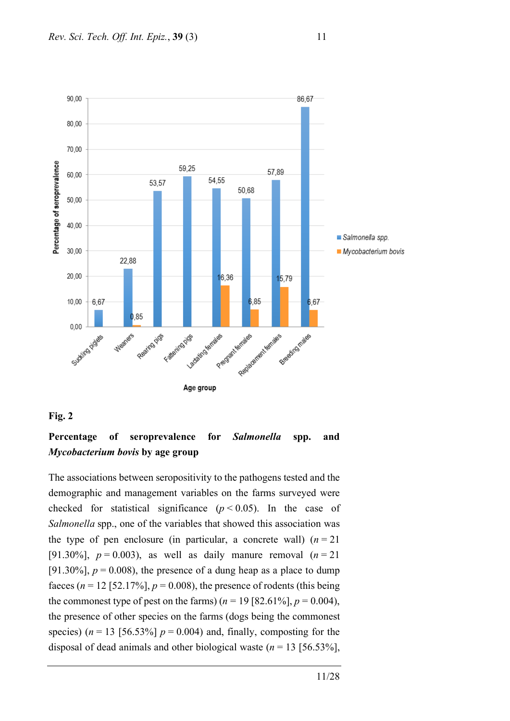

#### **Fig. 2**

### **Percentage of seroprevalence for** *Salmonella* **spp. and**  *Mycobacterium bovis* **by age group**

The associations between seropositivity to the pathogens tested and the demographic and management variables on the farms surveyed were checked for statistical significance  $(p < 0.05)$ . In the case of *Salmonella* spp., one of the variables that showed this association was the type of pen enclosure (in particular, a concrete wall)  $(n = 21)$ [91.30%],  $p = 0.003$ ), as well as daily manure removal  $(n = 21)$ [91.30%],  $p = 0.008$ ), the presence of a dung heap as a place to dump faeces ( $n = 12$  [52.17%],  $p = 0.008$ ), the presence of rodents (this being the commonest type of pest on the farms)  $(n = 19 [82.61\%], p = 0.004)$ , the presence of other species on the farms (dogs being the commonest species)  $(n = 13 \mid 56.53\% \mid p = 0.004)$  and, finally, composting for the disposal of dead animals and other biological waste  $(n = 13 \mid 56.53\%]$ ,

11/28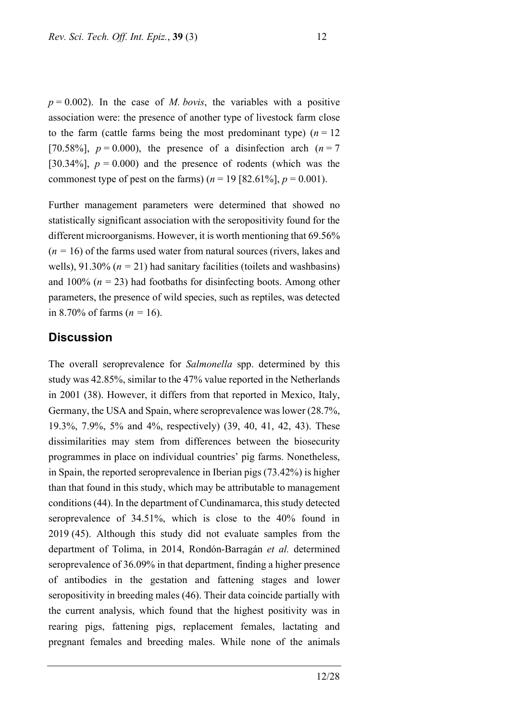$p = 0.002$ ). In the case of *M. bovis*, the variables with a positive association were: the presence of another type of livestock farm close to the farm (cattle farms being the most predominant type)  $(n = 12)$ [70.58%],  $p = 0.000$ ), the presence of a disinfection arch ( $n = 7$ ) [30.34%],  $p = 0.000$  and the presence of rodents (which was the commonest type of pest on the farms)  $(n = 19 [82.61\%], p = 0.001)$ .

Further management parameters were determined that showed no statistically significant association with the seropositivity found for the different microorganisms. However, it is worth mentioning that 69.56%  $(n = 16)$  of the farms used water from natural sources (rivers, lakes and wells), 91.30% ( $n = 21$ ) had sanitary facilities (toilets and washbasins) and 100% ( $n = 23$ ) had footbaths for disinfecting boots. Among other parameters, the presence of wild species, such as reptiles, was detected in 8.70% of farms  $(n = 16)$ .

### **Discussion**

The overall seroprevalence for *Salmonella* spp. determined by this study was 42.85%, similar to the 47% value reported in the Netherlands in 2001 (38). However, it differs from that reported in Mexico, Italy, Germany, the USA and Spain, where seroprevalence was lower (28.7%, 19.3%, 7.9%, 5% and 4%, respectively) (39, 40, 41, 42, 43). These dissimilarities may stem from differences between the biosecurity programmes in place on individual countries' pig farms. Nonetheless, in Spain, the reported seroprevalence in Iberian pigs (73.42%) is higher than that found in this study, which may be attributable to management conditions(44). In the department of Cundinamarca, this study detected seroprevalence of 34.51%, which is close to the 40% found in 2019 (45). Although this study did not evaluate samples from the department of Tolima, in 2014, Rondón-Barragán *et al.* determined seroprevalence of 36.09% in that department, finding a higher presence of antibodies in the gestation and fattening stages and lower seropositivity in breeding males (46). Their data coincide partially with the current analysis, which found that the highest positivity was in rearing pigs, fattening pigs, replacement females, lactating and pregnant females and breeding males. While none of the animals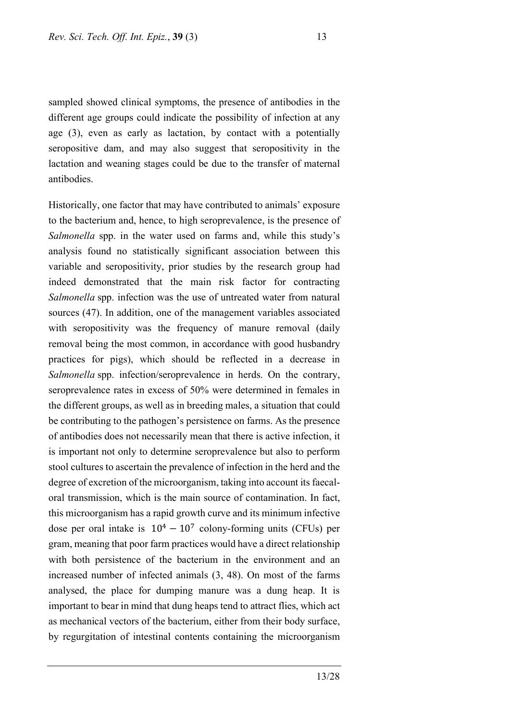sampled showed clinical symptoms, the presence of antibodies in the different age groups could indicate the possibility of infection at any age (3), even as early as lactation, by contact with a potentially seropositive dam, and may also suggest that seropositivity in the lactation and weaning stages could be due to the transfer of maternal antibodies.

Historically, one factor that may have contributed to animals' exposure to the bacterium and, hence, to high seroprevalence, is the presence of *Salmonella* spp. in the water used on farms and, while this study's analysis found no statistically significant association between this variable and seropositivity, prior studies by the research group had indeed demonstrated that the main risk factor for contracting *Salmonella* spp. infection was the use of untreated water from natural sources (47). In addition, one of the management variables associated with seropositivity was the frequency of manure removal (daily removal being the most common, in accordance with good husbandry practices for pigs), which should be reflected in a decrease in *Salmonella* spp. infection/seroprevalence in herds. On the contrary, seroprevalence rates in excess of 50% were determined in females in the different groups, as well as in breeding males, a situation that could be contributing to the pathogen's persistence on farms. As the presence of antibodies does not necessarily mean that there is active infection, it is important not only to determine seroprevalence but also to perform stool cultures to ascertain the prevalence of infection in the herd and the degree of excretion of the microorganism, taking into account its faecaloral transmission, which is the main source of contamination. In fact, this microorganism has a rapid growth curve and its minimum infective dose per oral intake is  $10^4 - 10^7$  colony-forming units (CFUs) per gram, meaning that poor farm practices would have a direct relationship with both persistence of the bacterium in the environment and an increased number of infected animals (3, 48). On most of the farms analysed, the place for dumping manure was a dung heap. It is important to bear in mind that dung heaps tend to attract flies, which act as mechanical vectors of the bacterium, either from their body surface, by regurgitation of intestinal contents containing the microorganism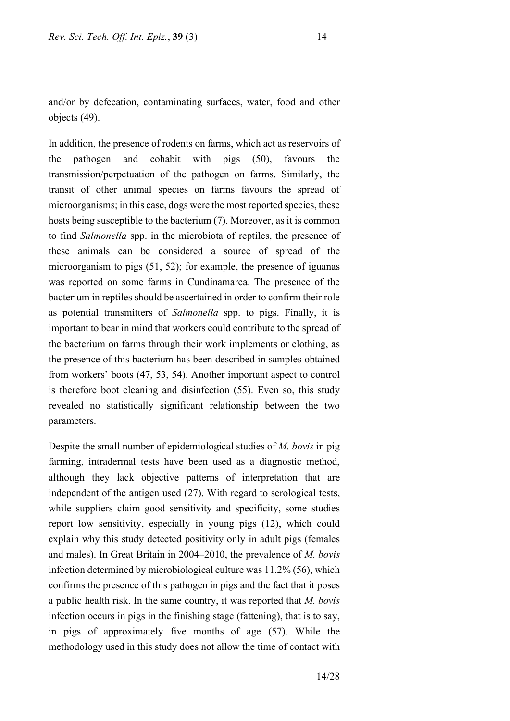and/or by defecation, contaminating surfaces, water, food and other objects (49).

In addition, the presence of rodents on farms, which act as reservoirs of the pathogen and cohabit with pigs (50), favours the transmission/perpetuation of the pathogen on farms. Similarly, the transit of other animal species on farms favours the spread of microorganisms; in this case, dogs were the most reported species, these hosts being susceptible to the bacterium (7). Moreover, as it is common to find *Salmonella* spp. in the microbiota of reptiles, the presence of these animals can be considered a source of spread of the microorganism to pigs (51, 52); for example, the presence of iguanas was reported on some farms in Cundinamarca. The presence of the bacterium in reptiles should be ascertained in order to confirm their role as potential transmitters of *Salmonella* spp. to pigs. Finally, it is important to bear in mind that workers could contribute to the spread of the bacterium on farms through their work implements or clothing, as the presence of this bacterium has been described in samples obtained from workers' boots (47, 53, 54). Another important aspect to control is therefore boot cleaning and disinfection (55). Even so, this study revealed no statistically significant relationship between the two parameters.

Despite the small number of epidemiological studies of *M. bovis* in pig farming, intradermal tests have been used as a diagnostic method, although they lack objective patterns of interpretation that are independent of the antigen used (27). With regard to serological tests, while suppliers claim good sensitivity and specificity, some studies report low sensitivity, especially in young pigs (12), which could explain why this study detected positivity only in adult pigs (females and males). In Great Britain in 2004–2010, the prevalence of *M. bovis* infection determined by microbiological culture was 11.2% (56), which confirms the presence of this pathogen in pigs and the fact that it poses a public health risk. In the same country, it was reported that *M. bovis* infection occurs in pigs in the finishing stage (fattening), that is to say, in pigs of approximately five months of age (57). While the methodology used in this study does not allow the time of contact with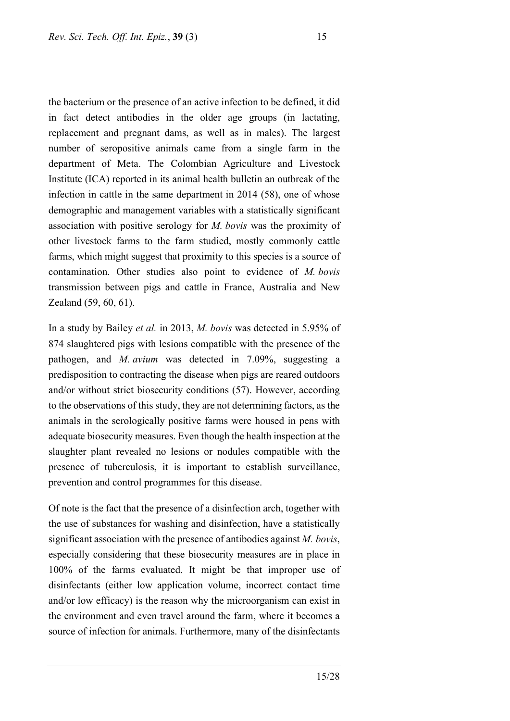the bacterium or the presence of an active infection to be defined, it did in fact detect antibodies in the older age groups (in lactating, replacement and pregnant dams, as well as in males). The largest number of seropositive animals came from a single farm in the department of Meta. The Colombian Agriculture and Livestock Institute (ICA) reported in its animal health bulletin an outbreak of the infection in cattle in the same department in 2014 (58), one of whose demographic and management variables with a statistically significant association with positive serology for *M. bovis* was the proximity of other livestock farms to the farm studied, mostly commonly cattle farms, which might suggest that proximity to this species is a source of contamination. Other studies also point to evidence of *M. bovis* transmission between pigs and cattle in France, Australia and New Zealand (59, 60, 61).

In a study by Bailey *et al.* in 2013, *M. bovis* was detected in 5.95% of 874 slaughtered pigs with lesions compatible with the presence of the pathogen, and *M. avium* was detected in 7.09%, suggesting a predisposition to contracting the disease when pigs are reared outdoors and/or without strict biosecurity conditions (57). However, according to the observations of this study, they are not determining factors, as the animals in the serologically positive farms were housed in pens with adequate biosecurity measures. Even though the health inspection at the slaughter plant revealed no lesions or nodules compatible with the presence of tuberculosis, it is important to establish surveillance, prevention and control programmes for this disease.

Of note is the fact that the presence of a disinfection arch, together with the use of substances for washing and disinfection, have a statistically significant association with the presence of antibodies against *M. bovis*, especially considering that these biosecurity measures are in place in 100% of the farms evaluated. It might be that improper use of disinfectants (either low application volume, incorrect contact time and/or low efficacy) is the reason why the microorganism can exist in the environment and even travel around the farm, where it becomes a source of infection for animals. Furthermore, many of the disinfectants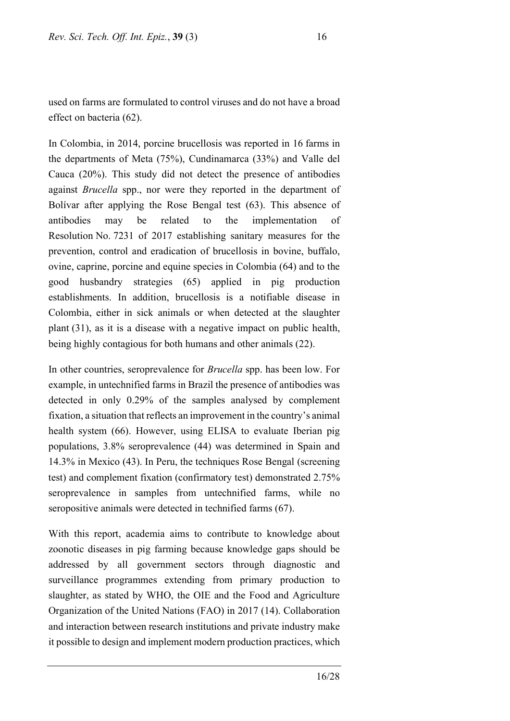used on farms are formulated to control viruses and do not have a broad effect on bacteria (62).

In Colombia, in 2014, porcine brucellosis was reported in 16 farms in the departments of Meta (75%), Cundinamarca (33%) and Valle del Cauca (20%). This study did not detect the presence of antibodies against *Brucella* spp., nor were they reported in the department of Bolívar after applying the Rose Bengal test (63). This absence of antibodies may be related to the implementation of Resolution No. 7231 of 2017 establishing sanitary measures for the prevention, control and eradication of brucellosis in bovine, buffalo, ovine, caprine, porcine and equine species in Colombia (64) and to the good husbandry strategies (65) applied in pig production establishments. In addition, brucellosis is a notifiable disease in Colombia, either in sick animals or when detected at the slaughter plant (31), as it is a disease with a negative impact on public health, being highly contagious for both humans and other animals (22).

In other countries, seroprevalence for *Brucella* spp. has been low. For example, in untechnified farms in Brazil the presence of antibodies was detected in only 0.29% of the samples analysed by complement fixation, a situation that reflects an improvement in the country's animal health system (66). However, using ELISA to evaluate Iberian pig populations, 3.8% seroprevalence (44) was determined in Spain and 14.3% in Mexico (43). In Peru, the techniques Rose Bengal (screening test) and complement fixation (confirmatory test) demonstrated 2.75% seroprevalence in samples from untechnified farms, while no seropositive animals were detected in technified farms (67).

With this report, academia aims to contribute to knowledge about zoonotic diseases in pig farming because knowledge gaps should be addressed by all government sectors through diagnostic and surveillance programmes extending from primary production to slaughter, as stated by WHO, the OIE and the Food and Agriculture Organization of the United Nations (FAO) in 2017 (14). Collaboration and interaction between research institutions and private industry make it possible to design and implement modern production practices, which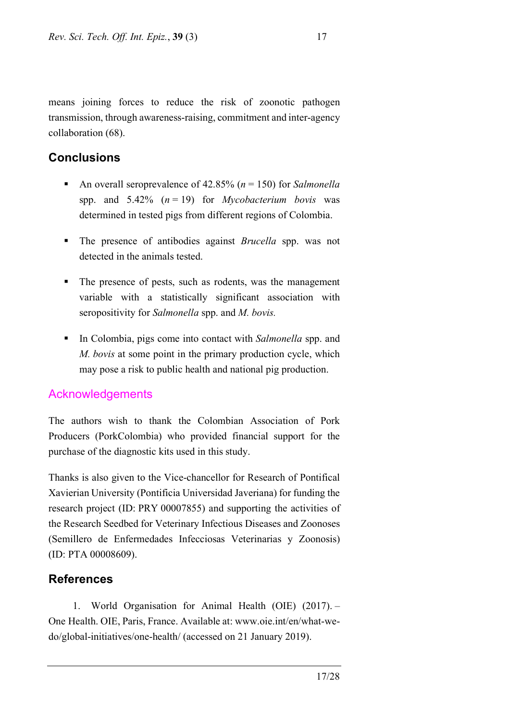means joining forces to reduce the risk of zoonotic pathogen transmission, through awareness-raising, commitment and inter-agency collaboration (68).

## **Conclusions**

- An overall seroprevalence of 42.85% (*n* = 150) for *Salmonella* spp. and 5.42% (*n* = 19) for *Mycobacterium bovis* was determined in tested pigs from different regions of Colombia.
- **The presence of antibodies against** *Brucella* spp. was not detected in the animals tested.
- The presence of pests, such as rodents, was the management variable with a statistically significant association with seropositivity for *Salmonella* spp. and *M. bovis.*
- In Colombia, pigs come into contact with *Salmonella* spp. and *M. bovis* at some point in the primary production cycle, which may pose a risk to public health and national pig production.

## Acknowledgements

The authors wish to thank the Colombian Association of Pork Producers (PorkColombia) who provided financial support for the purchase of the diagnostic kits used in this study.

Thanks is also given to the Vice-chancellor for Research of Pontifical Xavierian University (Pontificia Universidad Javeriana) for funding the research project (ID: PRY 00007855) and supporting the activities of the Research Seedbed for Veterinary Infectious Diseases and Zoonoses (Semillero de Enfermedades Infecciosas Veterinarias y Zoonosis) (ID: PTA 00008609).

## **References**

1. World Organisation for Animal Health (OIE) (2017). – One Health. OIE, Paris, France. Available at: www.oie.int/en/what-wedo/global-initiatives/one-health/ (accessed on 21 January 2019).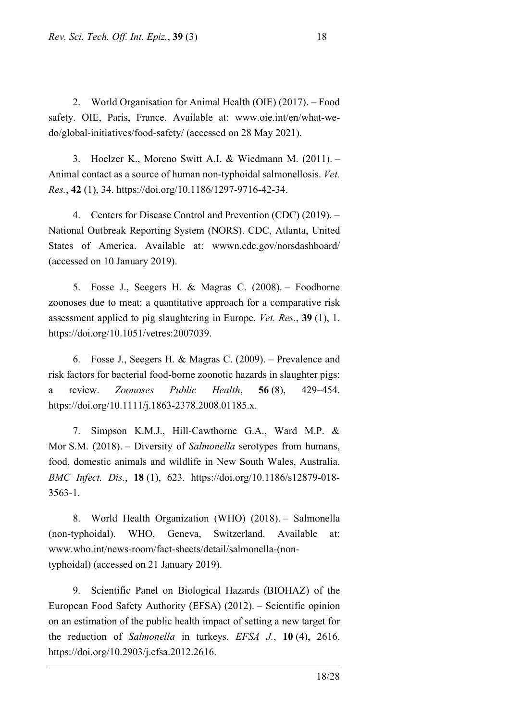2. World Organisation for Animal Health (OIE) (2017). – Food safety. OIE, Paris, France. Available at: www.oie.int/en/what-wedo/global-initiatives/food-safety/ (accessed on 28 May 2021).

3. Hoelzer K., Moreno Switt A.I. & Wiedmann M. (2011). – Animal contact as a source of human non-typhoidal salmonellosis. *Vet. Res.*, **42** (1), 34. https://doi.org/10.1186/1297-9716-42-34.

4. Centers for Disease Control and Prevention (CDC) (2019). – National Outbreak Reporting System (NORS). CDC, Atlanta, United States of America. Available at: wwwn.cdc.gov/norsdashboard/ (accessed on 10 January 2019).

5. Fosse J., Seegers H. & Magras C. (2008). – Foodborne zoonoses due to meat: a quantitative approach for a comparative risk assessment applied to pig slaughtering in Europe. *Vet. Res.*, **39** (1), 1. https://doi.org/10.1051/vetres:2007039.

6. Fosse J., Seegers H. & Magras C. (2009). – Prevalence and risk factors for bacterial food-borne zoonotic hazards in slaughter pigs: a review. *Zoonoses Public Health*, **56** (8), 429–454. https://doi.org/10.1111/j.1863-2378.2008.01185.x.

7. Simpson K.M.J., Hill-Cawthorne G.A., Ward M.P. & Mor S.M. (2018). – Diversity of *Salmonella* serotypes from humans, food, domestic animals and wildlife in New South Wales, Australia. *BMC Infect. Dis.*, **18** (1), 623. https://doi.org/10.1186/s12879-018- 3563-1.

8. World Health Organization (WHO) (2018). – Salmonella (non-typhoidal). WHO, Geneva, Switzerland. Available at: www.who.int/news-room/fact-sheets/detail/salmonella-(nontyphoidal) (accessed on 21 January 2019).

9. Scientific Panel on Biological Hazards (BIOHAZ) of the European Food Safety Authority (EFSA) (2012). – Scientific opinion on an estimation of the public health impact of setting a new target for the reduction of *Salmonella* in turkeys. *EFSA J.*, **10** (4), 2616. [https://doi.org/10.2903/j.efsa.2012.2616.](https://doi.org/10.2903/j.efsa.2012.2616)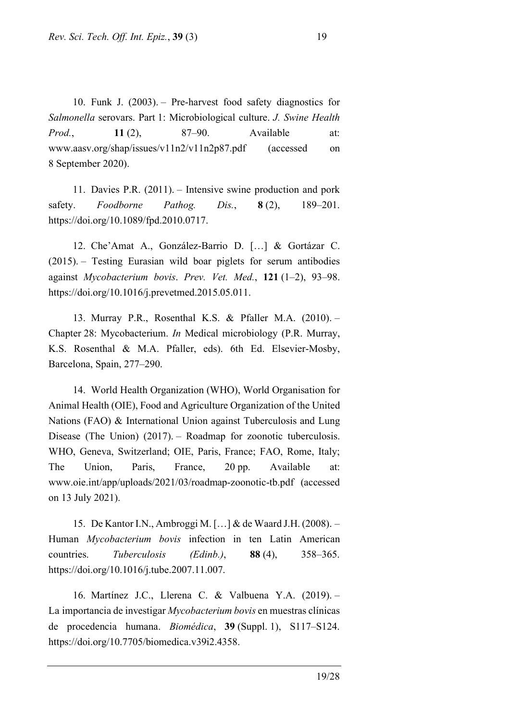10. Funk J. (2003). – Pre-harvest food safety diagnostics for *Salmonella* serovars. Part 1: Microbiological culture. *J. Swine Health Prod.*, **11** (2), 87–90. Available at: www.aasv.org/shap/issues/v11n2/v11n2p87.pdf (accessed on 8 September 2020).

11. Davies P.R. (2011). – Intensive swine production and pork safety. *Foodborne Pathog. Dis.*, **8** (2), 189–201. https://doi.org/10.1089/fpd.2010.0717.

12. Che'Amat A., González-Barrio D. […] & Gortázar C. (2015). – Testing Eurasian wild boar piglets for serum antibodies against *Mycobacterium bovis*. *Prev. Vet. Med.*, **121** (1–2), 93–98. https://doi.org/10.1016/j.prevetmed.2015.05.011.

13. Murray P.R., Rosenthal K.S. & Pfaller M.A. (2010). – Chapter 28: Mycobacterium. *In* Medical microbiology (P.R. Murray, K.S. Rosenthal & M.A. Pfaller, eds). 6th Ed. Elsevier-Mosby, Barcelona, Spain, 277–290.

14. World Health Organization (WHO), World Organisation for Animal Health (OIE), Food and Agriculture Organization of the United Nations (FAO) & International Union against Tuberculosis and Lung Disease (The Union) (2017). – Roadmap for zoonotic tuberculosis. WHO, Geneva, Switzerland; OIE, Paris, France; FAO, Rome, Italy; The Union, Paris, France, 20 pp. Available at: www.oie.int/app/uploads/2021/03/roadmap-zoonotic-tb.pdf (accessed on 13 July 2021).

15. De Kantor I.N., Ambroggi M. […] & de Waard J.H. (2008). – Human *Mycobacterium bovis* infection in ten Latin American countries. *Tuberculosis (Edinb.)*, **88** (4), 358–365. https://doi.org/10.1016/j.tube.2007.11.007.

16. Martínez J.C., Llerena C. & Valbuena Y.A. (2019). – La importancia de investigar *Mycobacterium bovis* en muestras clínicas de procedencia humana. *Biomédica*, **39** (Suppl. 1), S117–S124. [https://doi.org/10.7705/biomedica.v39i2.4358.](https://doi.org/10.7705/biomedica.v39i2.4358)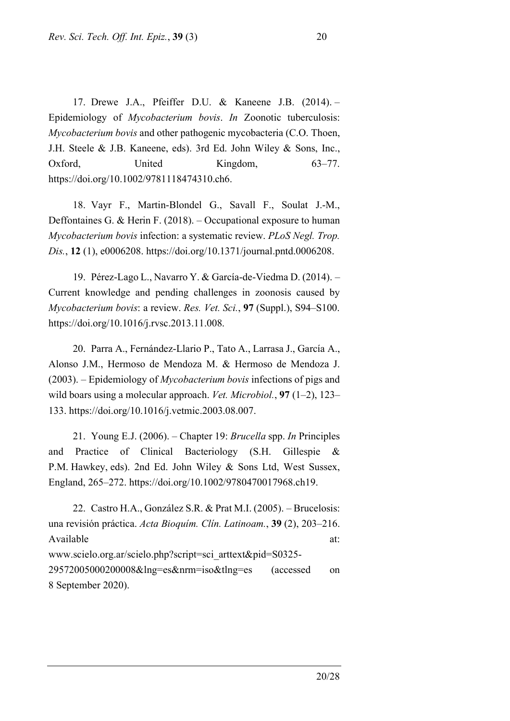17. Drewe J.A., Pfeiffer D.U. & Kaneene J.B. (2014). – Epidemiology of *Mycobacterium bovis*. *In* Zoonotic tuberculosis: *Mycobacterium bovis* and other pathogenic mycobacteria (C.O. Thoen, J.H. Steele & J.B. Kaneene, eds). 3rd Ed. John Wiley & Sons, Inc., Oxford, United Kingdom, 63–77. https://doi.org/10.1002/9781118474310.ch6.

18. Vayr F., Martin-Blondel G., Savall F., Soulat J.-M., Deffontaines G. & Herin F. (2018). – Occupational exposure to human *Mycobacterium bovis* infection: a systematic review. *PLoS Negl. Trop. Dis.*, **12** (1), e0006208. https://doi.org/10.1371/journal.pntd.0006208.

19. Pérez-Lago L., Navarro Y. & García-de-Viedma D. (2014). – Current knowledge and pending challenges in zoonosis caused by *Mycobacterium bovis*: a review. *Res. Vet. Sci.*, **97** (Suppl.), S94–S100. https://doi.org/10.1016/j.rvsc.2013.11.008.

20. Parra A., Fernández-Llario P., Tato A., Larrasa J., García A., Alonso J.M., Hermoso de Mendoza M. & Hermoso de Mendoza J. (2003). – Epidemiology of *Mycobacterium bovis* infections of pigs and wild boars using a molecular approach. *Vet. Microbiol.*, **97** (1–2), 123– 133. https://doi.org/10.1016/j.vetmic.2003.08.007.

21. Young E.J. (2006). – Chapter 19: *Brucella* spp. *In* Principles and Practice of Clinical Bacteriology (S.H. Gillespie & P.M. Hawkey, eds). 2nd Ed. John Wiley & Sons Ltd, West Sussex, England, 265–272. https://doi.org/10.1002/9780470017968.ch19.

22. Castro H.A., González S.R. & Prat M.I. (2005). – Brucelosis: una revisión práctica. *Acta Bioquím. Clín. Latinoam.*, **39** (2), 203–216. Available at: www.scielo.org.ar/scielo.php?script=sci\_arttext&pid=S0325- 29572005000200008&lng=es&nrm=iso&tlng=es (accessed on 8 September 2020).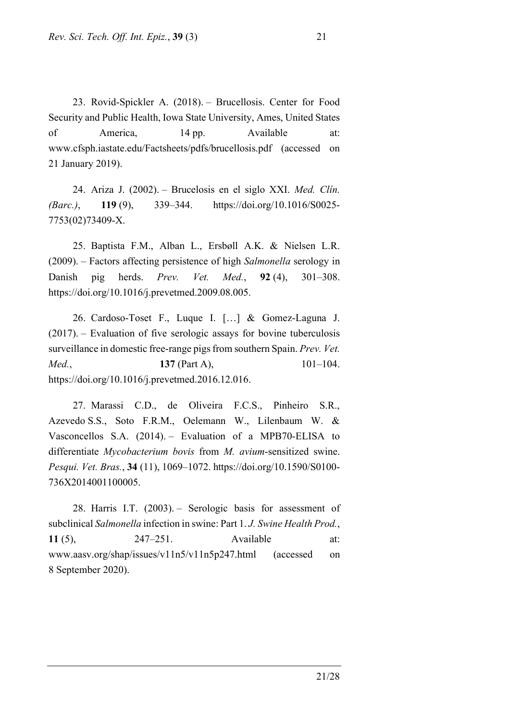23. Rovid-Spickler A. (2018). – Brucellosis. Center for Food Security and Public Health, Iowa State University, Ames, United States of America, 14 pp. Available at: www.cfsph.iastate.edu/Factsheets/pdfs/brucellosis.pdf (accessed on 21 January 2019).

24. Ariza J. (2002). – Brucelosis en el siglo XXI. *Med. Clín. (Barc.)*, **119** (9), 339–344. https://doi.org/10.1016/S0025- 7753(02)73409-X.

25. Baptista F.M., Alban L., Ersbøll A.K. & Nielsen L.R. (2009). – Factors affecting persistence of high *Salmonella* serology in Danish pig herds. *Prev. Vet. Med.*, **92** (4), 301–308. https://doi.org/10.1016/j.prevetmed.2009.08.005.

26. Cardoso-Toset F., Luque I. […] & Gomez-Laguna J. (2017). – Evaluation of five serologic assays for bovine tuberculosis surveillance in domestic free-range pigs from southern Spain. *Prev. Vet. Med.*, **137** (Part A), **101–104.** https://doi.org/10.1016/j.prevetmed.2016.12.016.

27. Marassi C.D., de Oliveira F.C.S., Pinheiro S.R., Azevedo S.S., Soto F.R.M., Oelemann W., Lilenbaum W. & Vasconcellos S.A. (2014). – Evaluation of a MPB70-ELISA to differentiate *Mycobacterium bovis* from *M. avium*-sensitized swine. *Pesqui. Vet. Bras.*, **34** (11), 1069–1072. https://doi.org/10.1590/S0100- 736X2014001100005.

28. Harris I.T. (2003). – Serologic basis for assessment of subclinical *Salmonella* infection in swine: Part 1. *J. Swine Health Prod.*, **11** (5), 247–251. Available at: www.aasv.org/shap/issues/v11n5/v11n5p247.html (accessed on 8 September 2020).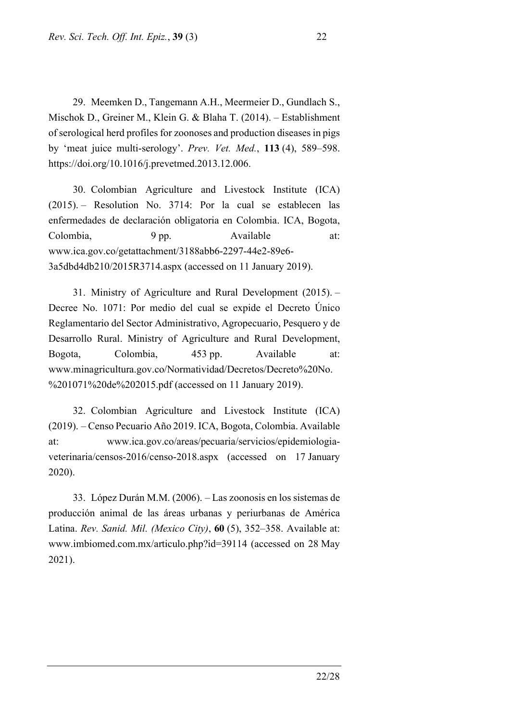29. Meemken D., Tangemann A.H., Meermeier D., Gundlach S., Mischok D., Greiner M., Klein G. & Blaha T. (2014). – Establishment of serological herd profiles for zoonoses and production diseases in pigs by 'meat juice multi-serology'. *Prev. Vet. Med.*, **113** (4), 589–598. https://doi.org/10.1016/j.prevetmed.2013.12.006.

30. Colombian Agriculture and Livestock Institute (ICA) (2015). – Resolution No. 3714: Por la cual se establecen las enfermedades de declaración obligatoria en Colombia. ICA, Bogota, Colombia, 9 pp. Available at: www.ica.gov.co/getattachment/3188abb6-2297-44e2-89e6- 3a5dbd4db210/2015R3714.aspx (accessed on 11 January 2019).

31. Ministry of Agriculture and Rural Development (2015). – Decree No. 1071: Por medio del cual se expide el Decreto Único Reglamentario del Sector Administrativo, Agropecuario, Pesquero y de Desarrollo Rural. Ministry of Agriculture and Rural Development, Bogota, Colombia, 453 pp. Available at: www.minagricultura.gov.co/Normatividad/Decretos/Decreto%20No. %201071%20de%202015.pdf (accessed on 11 January 2019).

32. Colombian Agriculture and Livestock Institute (ICA) (2019). – Censo Pecuario Año 2019. ICA, Bogota, Colombia. Available at: www.ica.gov.co/areas/pecuaria/servicios/epidemiologiaveterinaria/censos-2016/censo-2018.aspx (accessed on 17 January 2020).

33. López Durán M.M. (2006). – Las zoonosis en los sistemas de producción animal de las áreas urbanas y periurbanas de América Latina. *Rev. Sanid. Mil. (Mexico City)*, **60** (5), 352–358. Available at: www.imbiomed.com.mx/articulo.php?id=39114 (accessed on 28 May 2021).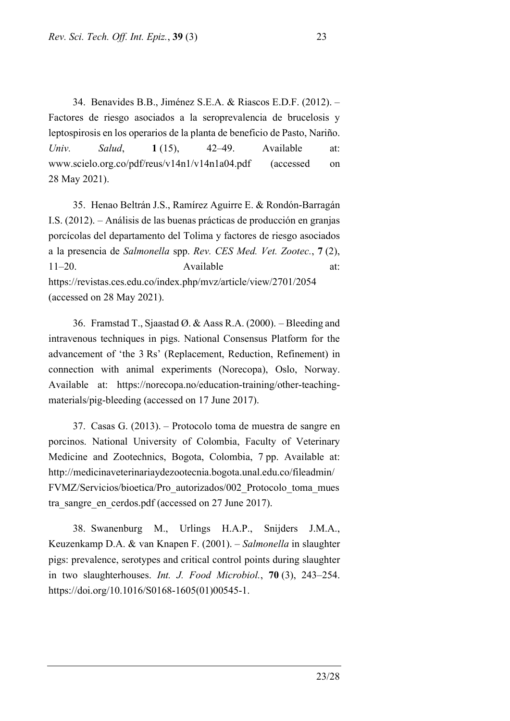34. Benavides B.B., Jiménez S.E.A. & Riascos E.D.F. (2012). – Factores de riesgo asociados a la seroprevalencia de brucelosis y leptospirosis en los operarios de la planta de beneficio de Pasto, Nariño. *Univ. Salud*, **1** (15), 42–49. Available at: www.scielo.org.co/pdf/reus/v14n1/v14n1a04.pdf (accessed on 28 May 2021).

35. Henao Beltrán J.S., Ramírez Aguirre E. & Rondón-Barragán I.S. (2012). – Análisis de las buenas prácticas de producción en granjas porcícolas del departamento del Tolima y factores de riesgo asociados a la presencia de *Salmonella* spp. *Rev. CES Med. Vet. Zootec.*, **7** (2), 11–20. Available at: https://revistas.ces.edu.co/index.php/mvz/article/view/2701/2054 (accessed on 28 May 2021).

36. Framstad T., Sjaastad Ø. & Aass R.A. (2000). – Bleeding and intravenous techniques in pigs. National Consensus Platform for the advancement of 'the 3 Rs' (Replacement, Reduction, Refinement) in connection with animal experiments (Norecopa), Oslo, Norway. Available at: https://norecopa.no/education-training/other-teachingmaterials/pig-bleeding (accessed on 17 June 2017).

37. Casas G. (2013). – Protocolo toma de muestra de sangre en porcinos. National University of Colombia, Faculty of Veterinary Medicine and Zootechnics, Bogota, Colombia, 7 pp. Available at: http://medicinaveterinariaydezootecnia.bogota.unal.edu.co/fileadmin/ FVMZ/Servicios/bioetica/Pro\_autorizados/002\_Protocolo\_toma\_mues tra\_sangre\_en\_cerdos.pdf (accessed on 27 June 2017).

38. Swanenburg M., Urlings H.A.P., Snijders J.M.A., Keuzenkamp D.A. & van Knapen F. (2001). – *Salmonella* in slaughter pigs: prevalence, serotypes and critical control points during slaughter in two slaughterhouses. *Int. J. Food Microbiol.*, **70** (3), 243–254. [https://doi.org/10.1016/S0168-1605\(01\)00545-1.](https://doi.org/10.1016/S0168-1605(01)00545-1)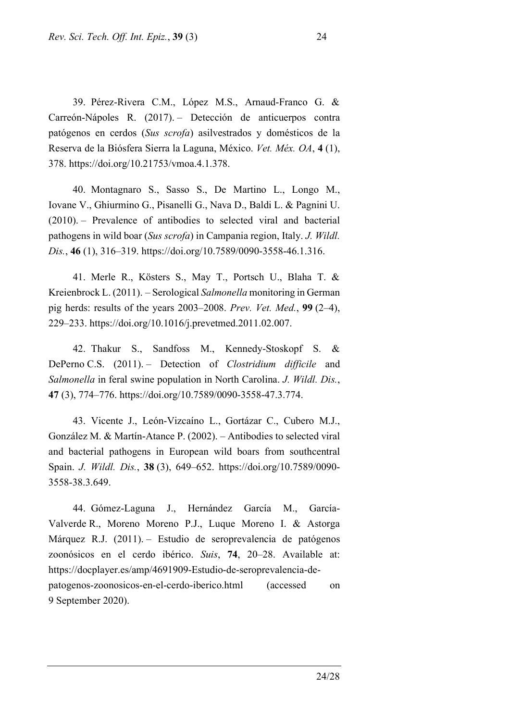39. Pérez-Rivera C.M., López M.S., Arnaud-Franco G. & Carreón-Nápoles R. (2017). – Detección de anticuerpos contra patógenos en cerdos (*Sus scrofa*) asilvestrados y domésticos de la Reserva de la Biósfera Sierra la Laguna, México. *Vet. Méx. OA*, **4** (1), 378. https://doi.org/10.21753/vmoa.4.1.378.

40. Montagnaro S., Sasso S., De Martino L., Longo M., Iovane V., Ghiurmino G., Pisanelli G., Nava D., Baldi L. & Pagnini U. (2010). – Prevalence of antibodies to selected viral and bacterial pathogens in wild boar (*Sus scrofa*) in Campania region, Italy. *J. Wildl. Dis.*, **46** (1), 316–319. https://doi.org/10.7589/0090-3558-46.1.316.

41. Merle R., Kösters S., May T., Portsch U., Blaha T. & Kreienbrock L. (2011). – Serological *Salmonella* monitoring in German pig herds: results of the years 2003–2008. *Prev. Vet. Med.*, **99** (2–4), 229–233. https://doi.org/10.1016/j.prevetmed.2011.02.007.

42. Thakur S., Sandfoss M., Kennedy-Stoskopf S. & DePerno C.S. (2011). – Detection of *Clostridium difficile* and *Salmonella* in feral swine population in North Carolina. *J. Wildl. Dis.*, **47** (3), 774–776. https://doi.org/10.7589/0090-3558-47.3.774.

43. Vicente J., León-Vizcaíno L., Gortázar C., Cubero M.J., González M. & Martín-Atance P. (2002). – Antibodies to selected viral and bacterial pathogens in European wild boars from southcentral Spain. *J. Wildl. Dis.*, **38** (3), 649–652. https://doi.org/10.7589/0090- 3558-38.3.649.

44. Gómez-Laguna J., Hernández García M., García-Valverde R., Moreno Moreno P.J., Luque Moreno I. & Astorga Márquez R.J. (2011). – Estudio de seroprevalencia de patógenos zoonósicos en el cerdo ibérico. *Suis*, **74**, 20–28. Available at: https://docplayer.es/amp/4691909-Estudio-de-seroprevalencia-depatogenos-zoonosicos-en-el-cerdo-iberico.html (accessed on 9 September 2020).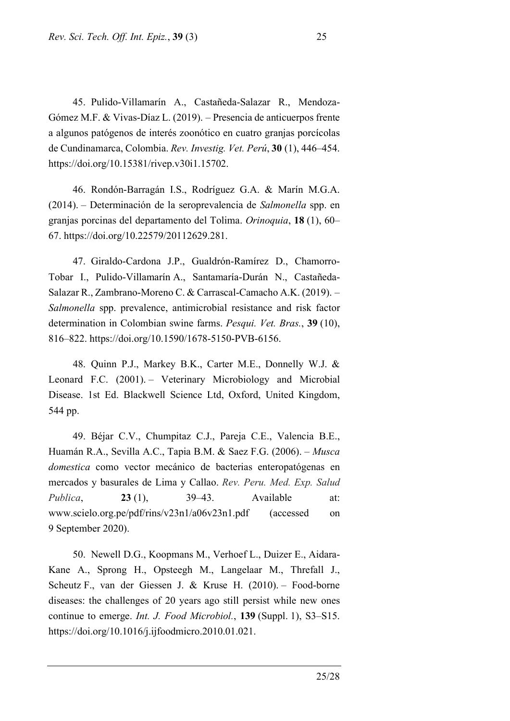45. Pulido-Villamarín A., Castañeda-Salazar R., Mendoza-Gómez M.F. & Vivas-Díaz L. (2019). – Presencia de anticuerpos frente a algunos patógenos de interés zoonótico en cuatro granjas porcícolas de Cundinamarca, Colombia. *Rev. Investig. Vet. Perú*, **30** (1), 446–454. https://doi.org/10.15381/rivep.v30i1.15702.

46. Rondón-Barragán I.S., Rodríguez G.A. & Marín M.G.A. (2014). – Determinación de la seroprevalencia de *Salmonella* spp. en granjas porcinas del departamento del Tolima. *Orinoquia*, **18** (1), 60– 67. https://doi.org/10.22579/20112629.281.

47. Giraldo-Cardona J.P., Gualdrón-Ramírez D., Chamorro-Tobar I., Pulido-Villamarín A., Santamaría-Durán N., Castañeda-Salazar R., Zambrano-Moreno C. & Carrascal-Camacho A.K. (2019). – *Salmonella* spp. prevalence, antimicrobial resistance and risk factor determination in Colombian swine farms. *Pesqui. Vet. Bras.*, **39** (10), 816–822. https://doi.org/10.1590/1678-5150-PVB-6156.

48. Quinn P.J., Markey B.K., Carter M.E., Donnelly W.J. & Leonard F.C. (2001). – Veterinary Microbiology and Microbial Disease. 1st Ed. Blackwell Science Ltd, Oxford, United Kingdom, 544 pp.

49. Béjar C.V., Chumpitaz C.J., Pareja C.E., Valencia B.E., Huamán R.A., Sevilla A.C., Tapia B.M. & Saez F.G. (2006). – *Musca domestica* como vector mecánico de bacterias enteropatógenas en mercados y basurales de Lima y Callao. *Rev. Peru. Med. Exp. Salud Publica*, **23** (1), 39–43. Available at: www.scielo.org.pe/pdf/rins/v23n1/a06v23n1.pdf (accessed on 9 September 2020).

50. Newell D.G., Koopmans M., Verhoef L., Duizer E., Aidara-Kane A., Sprong H., Opsteegh M., Langelaar M., Threfall J., Scheutz F., van der Giessen J. & Kruse H. (2010). – Food-borne diseases: the challenges of 20 years ago still persist while new ones continue to emerge. *Int. J. Food Microbiol.*, **139** (Suppl. 1), S3–S15. [https://doi.org/10.1016/j.ijfoodmicro.2010.01.021.](https://doi.org/10.1016/j.ijfoodmicro.2010.01.021)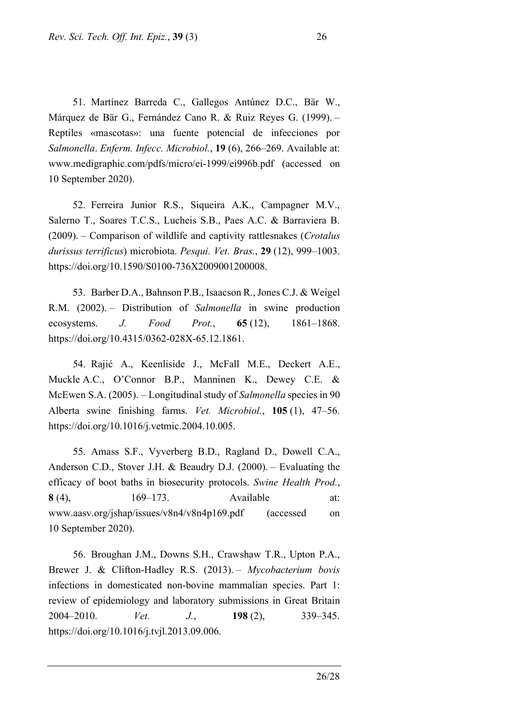51. Martínez Barreda C., Gallegos Antúnez D.C., Bär W., Márquez de Bär G., Fernández Cano R. & Ruiz Reyes G. (1999). – Reptiles «mascotas»: una fuente potencial de infecciones por *Salmonella*. *Enferm. Infecc. Microbiol.*, **19** (6), 266–269. Available at: www.medigraphic.com/pdfs/micro/ei-1999/ei996b.pdf (accessed on 10 September 2020).

52. Ferreira Junior R.S., Siqueira A.K., Campagner M.V., Salerno T., Soares T.C.S., Lucheis S.B., Paes A.C. & Barraviera B. (2009). – Comparison of wildlife and captivity rattlesnakes (*Crotalus durissus terrificus*) microbiota. *Pesqui. Vet. Bras.*, **29** (12), 999–1003. https://doi.org/10.1590/S0100-736X2009001200008.

53. Barber D.A., Bahnson P.B., Isaacson R., Jones C.J. & Weigel R.M. (2002). – Distribution of *Salmonella* in swine production ecosystems. *J. Food Prot.*, **65** (12), 1861–1868. https://doi.org/10.4315/0362-028X-65.12.1861.

54. Rajić A., Keenliside J., McFall M.E., Deckert A.E., Muckle A.C., O'Connor B.P., Manninen K., Dewey C.E. & McEwen S.A. (2005). – Longitudinal study of *Salmonella* species in 90 Alberta swine finishing farms. *Vet. Microbiol.*, **105** (1), 47–56. https://doi.org/10.1016/j.vetmic.2004.10.005.

55. Amass S.F., Vyverberg B.D., Ragland D., Dowell C.A., Anderson C.D., Stover J.H. & Beaudry D.J. (2000). – Evaluating the efficacy of boot baths in biosecurity protocols. *Swine Health Prod.*, **8** (4), 169–173. Available at: www.aasv.org/jshap/issues/v8n4/v8n4p169.pdf (accessed on 10 September 2020).

56. Broughan J.M., Downs S.H., Crawshaw T.R., Upton P.A., Brewer J. & Clifton-Hadley R.S. (2013). – *Mycobacterium bovis* infections in domesticated non-bovine mammalian species. Part 1: review of epidemiology and laboratory submissions in Great Britain 2004–2010. *Vet. J.*, **198** (2), 339–345. [https://doi.org/10.1016/j.tvjl.2013.09.006.](https://doi.org/10.1016/j.tvjl.2013.09.006)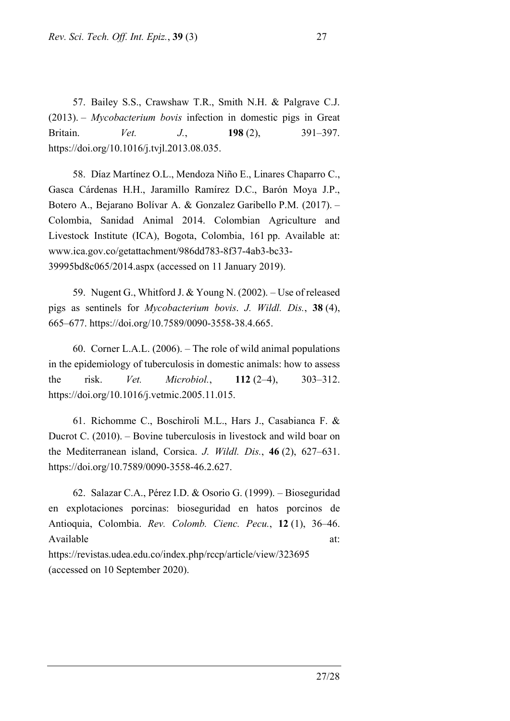57. Bailey S.S., Crawshaw T.R., Smith N.H. & Palgrave C.J. (2013). – *Mycobacterium bovis* infection in domestic pigs in Great Britain. *Vet. J.*, **198** (2), 391–397. https://doi.org/10.1016/j.tvjl.2013.08.035.

58. Díaz Martínez O.L., Mendoza Niño E., Linares Chaparro C., Gasca Cárdenas H.H., Jaramillo Ramírez D.C., Barón Moya J.P., Botero A., Bejarano Bolívar A. & Gonzalez Garibello P.M. (2017). – Colombia, Sanidad Animal 2014. Colombian Agriculture and Livestock Institute (ICA), Bogota, Colombia, 161 pp. Available at: www.ica.gov.co/getattachment/986dd783-8f37-4ab3-bc33- 39995bd8c065/2014.aspx (accessed on 11 January 2019).

59. Nugent G., Whitford J. & Young N. (2002). – Use of released pigs as sentinels for *Mycobacterium bovis*. *J. Wildl. Dis.*, **38** (4), 665–677. https://doi.org/10.7589/0090-3558-38.4.665.

60. Corner L.A.L. (2006). – The role of wild animal populations in the epidemiology of tuberculosis in domestic animals: how to assess the risk. *Vet. Microbiol.*, **112** (2–4), 303–312. https://doi.org/10.1016/j.vetmic.2005.11.015.

61. Richomme C., Boschiroli M.L., Hars J., Casabianca F. & Ducrot C. (2010). – Bovine tuberculosis in livestock and wild boar on the Mediterranean island, Corsica. *J. Wildl. Dis.*, **46** (2), 627–631. https://doi.org/10.7589/0090-3558-46.2.627.

62. Salazar C.A., Pérez I.D. & Osorio G. (1999). – Bioseguridad en explotaciones porcinas: bioseguridad en hatos porcinos de Antioquia, Colombia. *Rev. Colomb. Cienc. Pecu.*, **12** (1), 36–46. Available at: and a state at a state at a state at a state at a state at a state at a state at a state at a state at a state at a state at  $\alpha$  state at a state at a state at a state at a state at a state at a state at a s https://revistas.udea.edu.co/index.php/rccp/article/view/323695 (accessed on 10 September 2020).